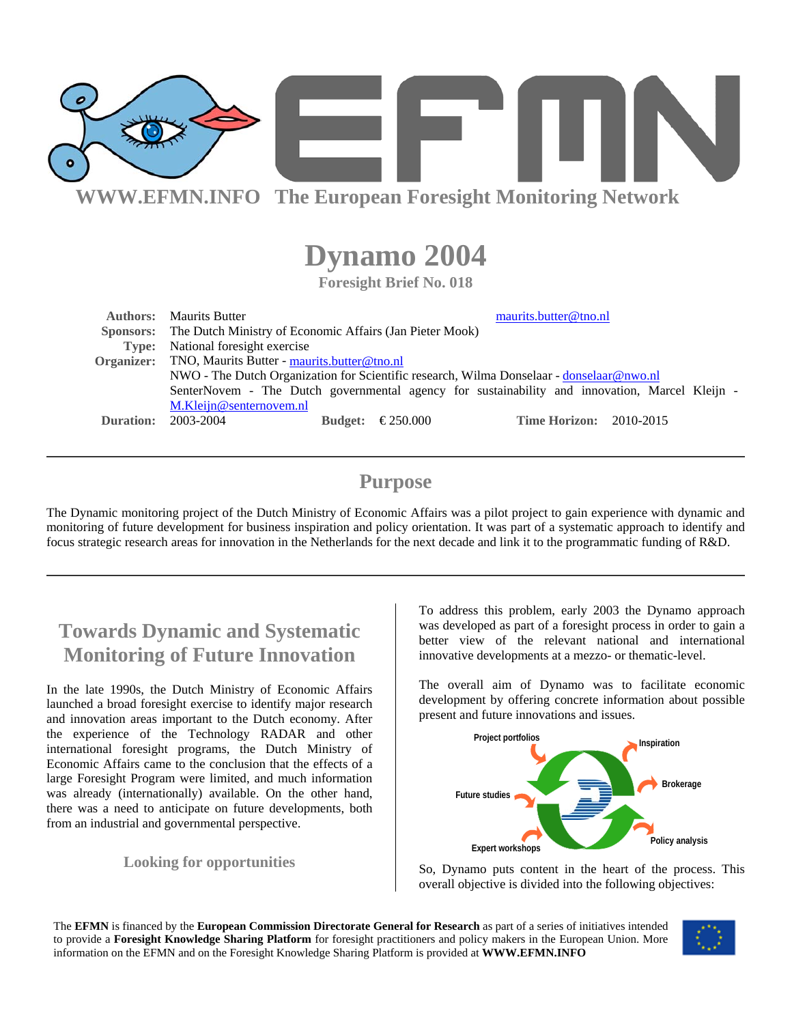

# **Dynamo 2004**

**Foresight Brief No. 018** 

| <b>Authors:</b> | maurits.butter@tno.nl<br><b>Maurits Butter</b>                                                 |                |          |                                |  |
|-----------------|------------------------------------------------------------------------------------------------|----------------|----------|--------------------------------|--|
|                 | Sponsors: The Dutch Ministry of Economic Affairs (Jan Pieter Mook)                             |                |          |                                |  |
|                 | Type: National foresight exercise                                                              |                |          |                                |  |
|                 | Organizer: TNO, Maurits Butter - maurits.butter@tno.nl                                         |                |          |                                |  |
|                 | NWO - The Dutch Organization for Scientific research, Wilma Donselaar - donselaar@nwo.nl       |                |          |                                |  |
|                 | SenterNovem - The Dutch governmental agency for sustainability and innovation, Marcel Kleijn - |                |          |                                |  |
|                 | M.Kleijn@senternovem.nl                                                                        |                |          |                                |  |
| Duration:       | 2003-2004                                                                                      | <b>Budget:</b> | €250.000 | <b>Time Horizon: 2010-2015</b> |  |
|                 |                                                                                                |                |          |                                |  |

# **Purpose**

The Dynamic monitoring project of the Dutch Ministry of Economic Affairs was a pilot project to gain experience with dynamic and monitoring of future development for business inspiration and policy orientation. It was part of a systematic approach to identify and focus strategic research areas for innovation in the Netherlands for the next decade and link it to the programmatic funding of R&D.

# **Towards Dynamic and Systematic Monitoring of Future Innovation**

In the late 1990s, the Dutch Ministry of Economic Affairs launched a broad foresight exercise to identify major research and innovation areas important to the Dutch economy. After the experience of the Technology RADAR and other international foresight programs, the Dutch Ministry of Economic Affairs came to the conclusion that the effects of a large Foresight Program were limited, and much information was already (internationally) available. On the other hand, there was a need to anticipate on future developments, both from an industrial and governmental perspective.

# **Looking for opportunities**

To address this problem, early 2003 the Dynamo approach was developed as part of a foresight process in order to gain a better view of the relevant national and international innovative developments at a mezzo- or thematic-level.

The overall aim of Dynamo was to facilitate economic development by offering concrete information about possible present and future innovations and issues.



So, Dynamo puts content in the heart of the process. This overall objective is divided into the following objectives:

The **EFMN** is financed by the **European Commission Directorate General for Research** as part of a series of initiatives intended to provide a **Foresight Knowledge Sharing Platform** for foresight practitioners and policy makers in the European Union. More information on the EFMN and on the Foresight Knowledge Sharing Platform is provided at **WWW.EFMN.INFO**

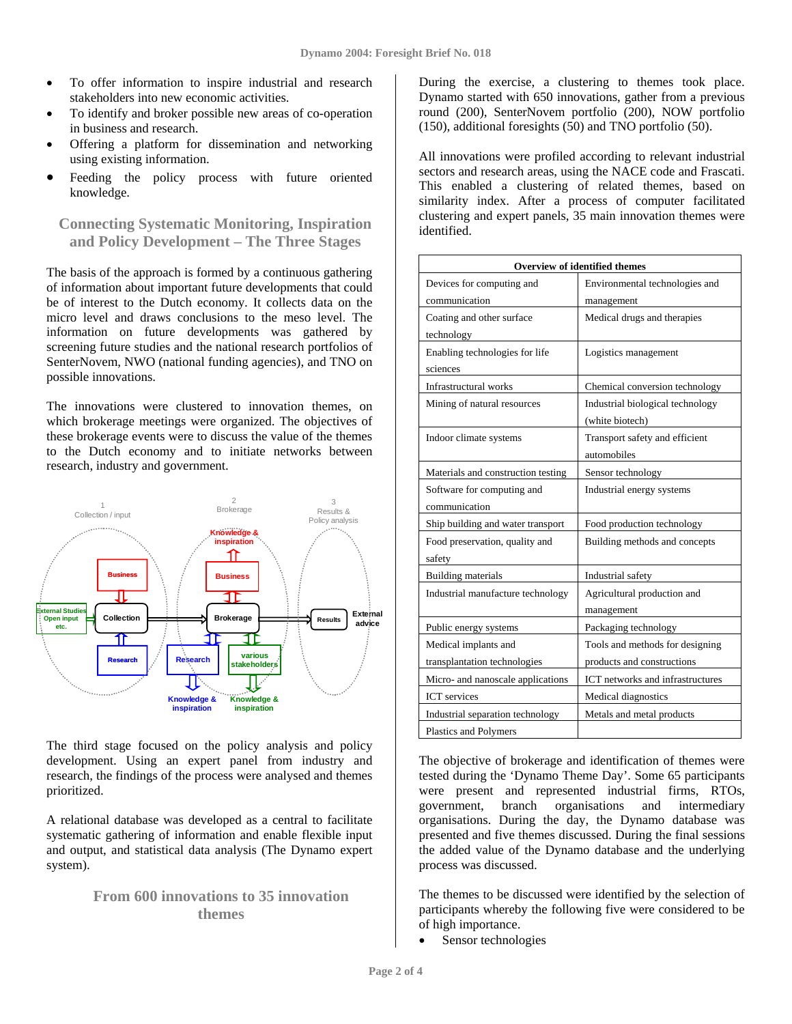- To offer information to inspire industrial and research stakeholders into new economic activities.
- To identify and broker possible new areas of co-operation in business and research.
- Offering a platform for dissemination and networking using existing information.
- Feeding the policy process with future oriented knowledge.

# **Connecting Systematic Monitoring, Inspiration and Policy Development – The Three Stages**

The basis of the approach is formed by a continuous gathering of information about important future developments that could be of interest to the Dutch economy. It collects data on the micro level and draws conclusions to the meso level. The information on future developments was gathered by screening future studies and the national research portfolios of SenterNovem, NWO (national funding agencies), and TNO on possible innovations.

The innovations were clustered to innovation themes, on which brokerage meetings were organized. The objectives of these brokerage events were to discuss the value of the themes to the Dutch economy and to initiate networks between research, industry and government.



The third stage focused on the policy analysis and policy development. Using an expert panel from industry and research, the findings of the process were analysed and themes prioritized.

A relational database was developed as a central to facilitate systematic gathering of information and enable flexible input and output, and statistical data analysis (The Dynamo expert system).

# **From 600 innovations to 35 innovation themes**

During the exercise, a clustering to themes took place. Dynamo started with 650 innovations, gather from a previous round (200), SenterNovem portfolio (200), NOW portfolio (150), additional foresights (50) and TNO portfolio (50).

All innovations were profiled according to relevant industrial sectors and research areas, using the NACE code and Frascati. This enabled a clustering of related themes, based on similarity index. After a process of computer facilitated clustering and expert panels, 35 main innovation themes were identified.

| Overview of identified themes      |                                         |  |  |  |
|------------------------------------|-----------------------------------------|--|--|--|
| Devices for computing and          | Environmental technologies and          |  |  |  |
| communication                      | management                              |  |  |  |
| Coating and other surface          | Medical drugs and therapies             |  |  |  |
| technology                         |                                         |  |  |  |
| Enabling technologies for life     | Logistics management                    |  |  |  |
| sciences                           |                                         |  |  |  |
| Infrastructural works              | Chemical conversion technology          |  |  |  |
| Mining of natural resources        | Industrial biological technology        |  |  |  |
|                                    | (white biotech)                         |  |  |  |
| Indoor climate systems             | Transport safety and efficient          |  |  |  |
|                                    | automobiles                             |  |  |  |
| Materials and construction testing | Sensor technology                       |  |  |  |
| Software for computing and         | Industrial energy systems               |  |  |  |
| communication                      |                                         |  |  |  |
| Ship building and water transport  | Food production technology              |  |  |  |
| Food preservation, quality and     | Building methods and concepts           |  |  |  |
| safety                             |                                         |  |  |  |
| <b>Building materials</b>          | Industrial safety                       |  |  |  |
| Industrial manufacture technology  | Agricultural production and             |  |  |  |
|                                    | management                              |  |  |  |
| Public energy systems              | Packaging technology                    |  |  |  |
| Medical implants and               | Tools and methods for designing         |  |  |  |
| transplantation technologies       | products and constructions              |  |  |  |
| Micro- and nanoscale applications  | <b>ICT</b> networks and infrastructures |  |  |  |
| <b>ICT</b> services                | Medical diagnostics                     |  |  |  |
| Industrial separation technology   | Metals and metal products               |  |  |  |
| <b>Plastics and Polymers</b>       |                                         |  |  |  |

The objective of brokerage and identification of themes were tested during the 'Dynamo Theme Day'. Some 65 participants were present and represented industrial firms, RTOs, government, branch organisations and intermediary organisations. During the day, the Dynamo database was presented and five themes discussed. During the final sessions the added value of the Dynamo database and the underlying process was discussed.

The themes to be discussed were identified by the selection of participants whereby the following five were considered to be of high importance.

• Sensor technologies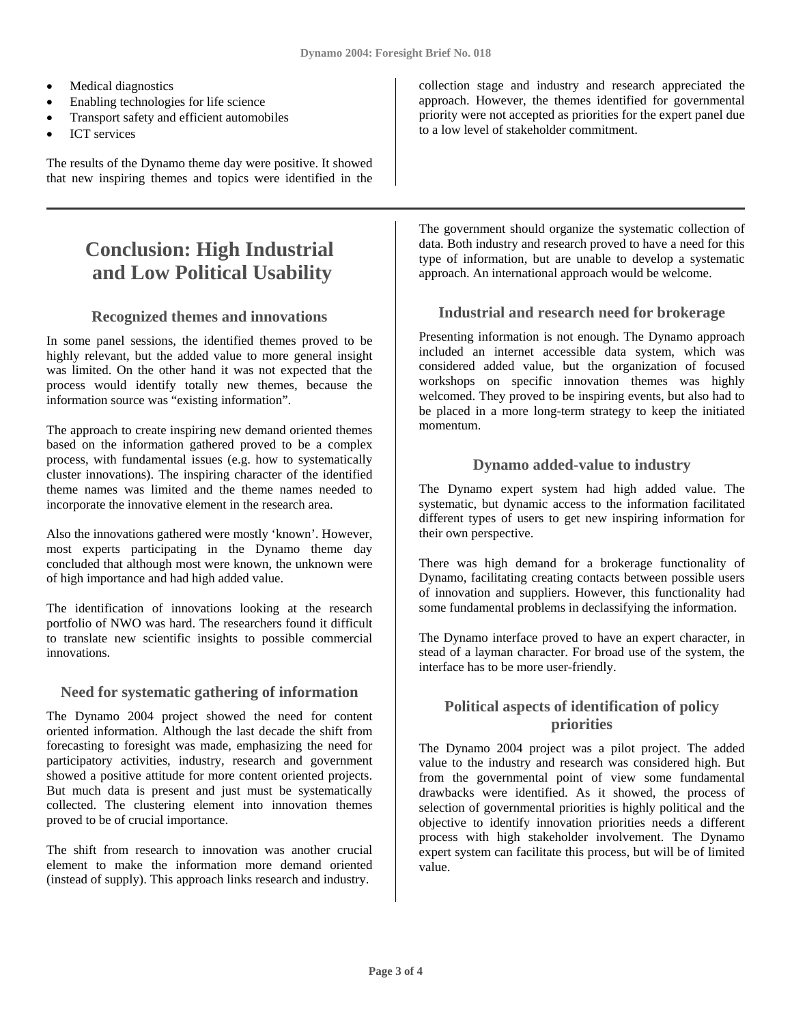- Medical diagnostics
- Enabling technologies for life science
- Transport safety and efficient automobiles
- ICT services

The results of the Dynamo theme day were positive. It showed that new inspiring themes and topics were identified in the

# **Conclusion: High Industrial and Low Political Usability**

### **Recognized themes and innovations**

In some panel sessions, the identified themes proved to be highly relevant, but the added value to more general insight was limited. On the other hand it was not expected that the process would identify totally new themes, because the information source was "existing information".

The approach to create inspiring new demand oriented themes based on the information gathered proved to be a complex process, with fundamental issues (e.g. how to systematically cluster innovations). The inspiring character of the identified theme names was limited and the theme names needed to incorporate the innovative element in the research area.

Also the innovations gathered were mostly 'known'. However, most experts participating in the Dynamo theme day concluded that although most were known, the unknown were of high importance and had high added value.

The identification of innovations looking at the research portfolio of NWO was hard. The researchers found it difficult to translate new scientific insights to possible commercial innovations.

#### **Need for systematic gathering of information**

The Dynamo 2004 project showed the need for content oriented information. Although the last decade the shift from forecasting to foresight was made, emphasizing the need for participatory activities, industry, research and government showed a positive attitude for more content oriented projects. But much data is present and just must be systematically collected. The clustering element into innovation themes proved to be of crucial importance.

The shift from research to innovation was another crucial element to make the information more demand oriented (instead of supply). This approach links research and industry.

collection stage and industry and research appreciated the approach. However, the themes identified for governmental priority were not accepted as priorities for the expert panel due to a low level of stakeholder commitment.

The government should organize the systematic collection of data. Both industry and research proved to have a need for this type of information, but are unable to develop a systematic approach. An international approach would be welcome.

### **Industrial and research need for brokerage**

Presenting information is not enough. The Dynamo approach included an internet accessible data system, which was considered added value, but the organization of focused workshops on specific innovation themes was highly welcomed. They proved to be inspiring events, but also had to be placed in a more long-term strategy to keep the initiated momentum.

#### **Dynamo added-value to industry**

The Dynamo expert system had high added value. The systematic, but dynamic access to the information facilitated different types of users to get new inspiring information for their own perspective.

There was high demand for a brokerage functionality of Dynamo, facilitating creating contacts between possible users of innovation and suppliers. However, this functionality had some fundamental problems in declassifying the information.

The Dynamo interface proved to have an expert character, in stead of a layman character. For broad use of the system, the interface has to be more user-friendly.

### **Political aspects of identification of policy priorities**

The Dynamo 2004 project was a pilot project. The added value to the industry and research was considered high. But from the governmental point of view some fundamental drawbacks were identified. As it showed, the process of selection of governmental priorities is highly political and the objective to identify innovation priorities needs a different process with high stakeholder involvement. The Dynamo expert system can facilitate this process, but will be of limited value.